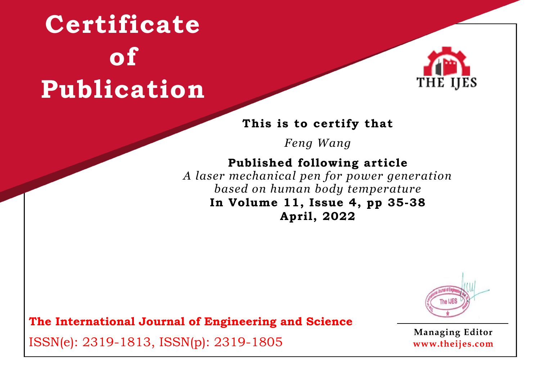

#### **This is to certify that**

*Feng Wang*

### **Published following article**

*A laser mechanical pen for power generation based on human body temperature* **In Volume 11, Issue 4, pp 35-38 April, 2022**



**The International Journal of Engineering and Science**

ISSN(e): 2319-1813, ISSN(p): 2319-1805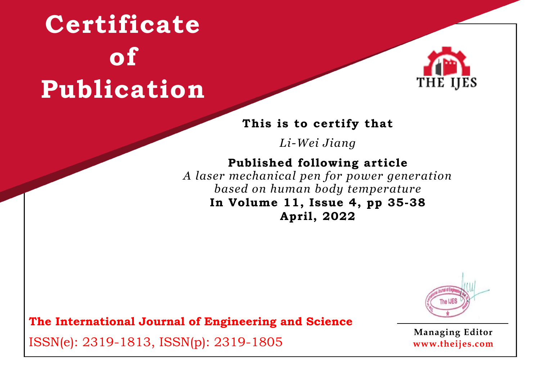

#### **This is to certify that**

*Li-Wei Jiang*

### **Published following article**

*A laser mechanical pen for power generation based on human body temperature* **In Volume 11, Issue 4, pp 35-38 April, 2022**



**The International Journal of Engineering and Science**

ISSN(e): 2319-1813, ISSN(p): 2319-1805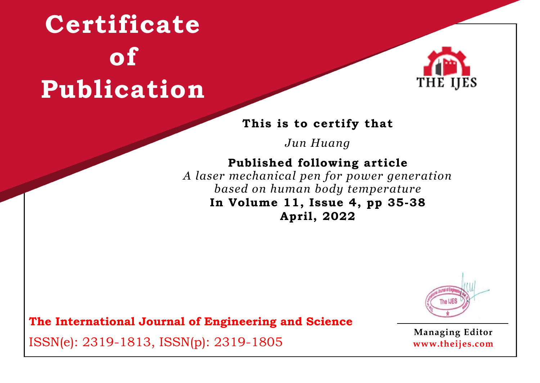

#### **This is to certify that**

*Jun Huang*

### **Published following article**

*A laser mechanical pen for power generation based on human body temperature* **In Volume 11, Issue 4, pp 35-38 April, 2022**



**The International Journal of Engineering and Science**

ISSN(e): 2319-1813, ISSN(p): 2319-1805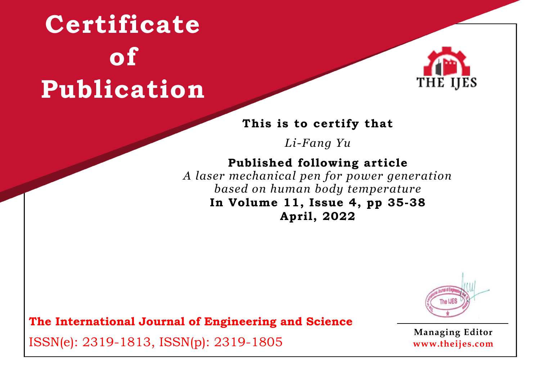

#### **This is to certify that**

*Li-Fang Yu*

### **Published following article**

*A laser mechanical pen for power generation based on human body temperature* **In Volume 11, Issue 4, pp 35-38 April, 2022**



**The International Journal of Engineering and Science**

ISSN(e): 2319-1813, ISSN(p): 2319-1805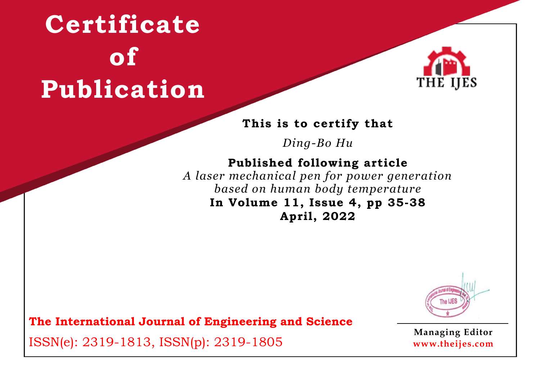

#### **This is to certify that**

*Ding-Bo Hu*

### **Published following article**

*A laser mechanical pen for power generation based on human body temperature* **In Volume 11, Issue 4, pp 35-38 April, 2022**



**The International Journal of Engineering and Science**

ISSN(e): 2319-1813, ISSN(p): 2319-1805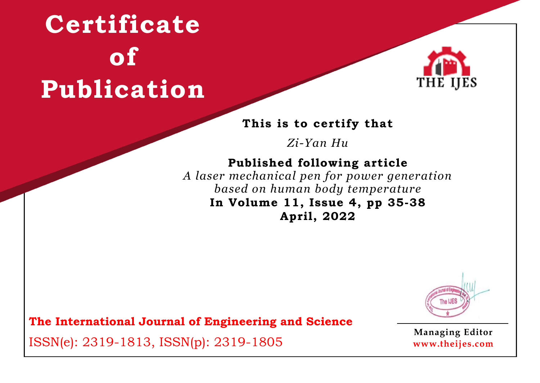

#### **This is to certify that**

*Zi-Yan Hu*

### **Published following article**

*A laser mechanical pen for power generation based on human body temperature* **In Volume 11, Issue 4, pp 35-38 April, 2022**



**The International Journal of Engineering and Science**

ISSN(e): 2319-1813, ISSN(p): 2319-1805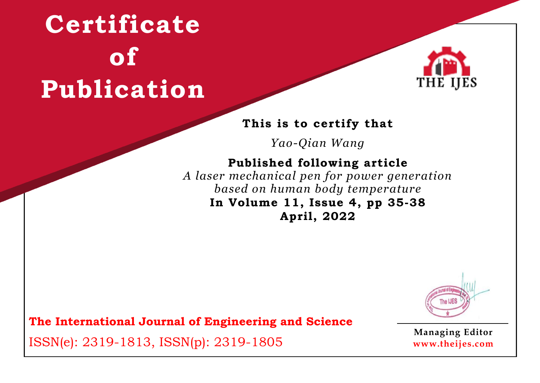

#### **This is to certify that**

*Yao-Qian Wang*

### **Published following article**

*A laser mechanical pen for power generation based on human body temperature* **In Volume 11, Issue 4, pp 35-38 April, 2022**



**The International Journal of Engineering and Science**

ISSN(e): 2319-1813, ISSN(p): 2319-1805